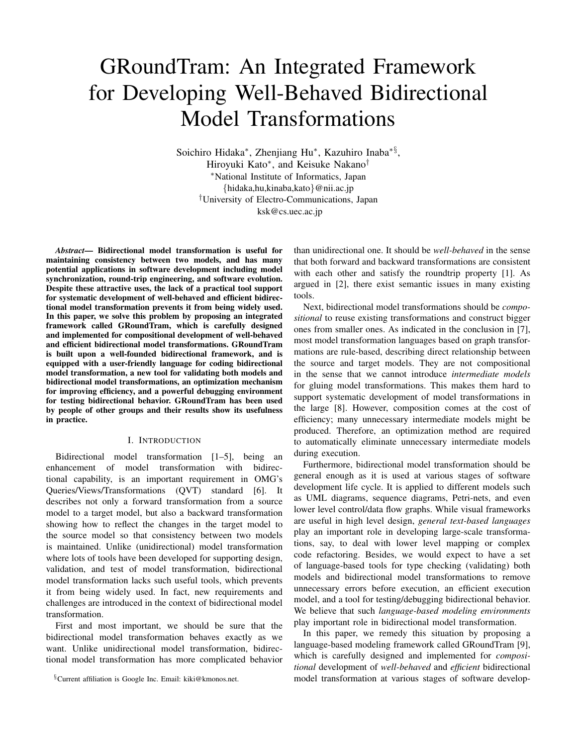# GRoundTram: An Integrated Framework for Developing Well-Behaved Bidirectional Model Transformations

Soichiro Hidaka*∗* , Zhenjiang Hu*∗* , Kazuhiro Inaba*∗§* , Hiroyuki Kato*∗* , and Keisuke Nakano*† ∗*National Institute of Informatics, Japan *{*hidaka,hu,kinaba,kato*}*@nii.ac.jp *†*University of Electro-Communications, Japan ksk@cs.uec.ac.jp

*Abstract*— Bidirectional model transformation is useful for maintaining consistency between two models, and has many potential applications in software development including model synchronization, round-trip engineering, and software evolution. Despite these attractive uses, the lack of a practical tool support for systematic development of well-behaved and efficient bidirectional model transformation prevents it from being widely used. In this paper, we solve this problem by proposing an integrated framework called GRoundTram, which is carefully designed and implemented for compositional development of well-behaved and efficient bidirectional model transformations. GRoundTram is built upon a well-founded bidirectional framework, and is equipped with a user-friendly language for coding bidirectional model transformation, a new tool for validating both models and bidirectional model transformations, an optimization mechanism for improving efficiency, and a powerful debugging environment for testing bidirectional behavior. GRoundTram has been used by people of other groups and their results show its usefulness in practice.

## I. INTRODUCTION

Bidirectional model transformation [1–5], being an enhancement of model transformation with bidirectional capability, is an important requirement in OMG's Queries/Views/Transformations (QVT) standard [6]. It describes not only a forward transformation from a source model to a target model, but also a backward transformation showing how to reflect the changes in the target model to the source model so that consistency between two models is maintained. Unlike (unidirectional) model transformation where lots of tools have been developed for supporting design, validation, and test of model transformation, bidirectional model transformation lacks such useful tools, which prevents it from being widely used. In fact, new requirements and challenges are introduced in the context of bidirectional model transformation.

First and most important, we should be sure that the bidirectional model transformation behaves exactly as we want. Unlike unidirectional model transformation, bidirectional model transformation has more complicated behavior

*§*Current affiliation is Google Inc. Email: kiki@kmonos.net.

than unidirectional one. It should be *well-behaved* in the sense that both forward and backward transformations are consistent with each other and satisfy the roundtrip property [1]. As argued in [2], there exist semantic issues in many existing tools.

Next, bidirectional model transformations should be *compositional* to reuse existing transformations and construct bigger ones from smaller ones. As indicated in the conclusion in [7], most model transformation languages based on graph transformations are rule-based, describing direct relationship between the source and target models. They are not compositional in the sense that we cannot introduce *intermediate models* for gluing model transformations. This makes them hard to support systematic development of model transformations in the large [8]. However, composition comes at the cost of efficiency; many unnecessary intermediate models might be produced. Therefore, an optimization method are required to automatically eliminate unnecessary intermediate models during execution.

Furthermore, bidirectional model transformation should be general enough as it is used at various stages of software development life cycle. It is applied to different models such as UML diagrams, sequence diagrams, Petri-nets, and even lower level control/data flow graphs. While visual frameworks are useful in high level design, *general text-based languages* play an important role in developing large-scale transformations, say, to deal with lower level mapping or complex code refactoring. Besides, we would expect to have a set of language-based tools for type checking (validating) both models and bidirectional model transformations to remove unnecessary errors before execution, an efficient execution model, and a tool for testing/debugging bidirectional behavior. We believe that such *language-based modeling environments* play important role in bidirectional model transformation.

In this paper, we remedy this situation by proposing a language-based modeling framework called GRoundTram [9], which is carefully designed and implemented for *compositional* development of *well-behaved* and *efficient* bidirectional model transformation at various stages of software develop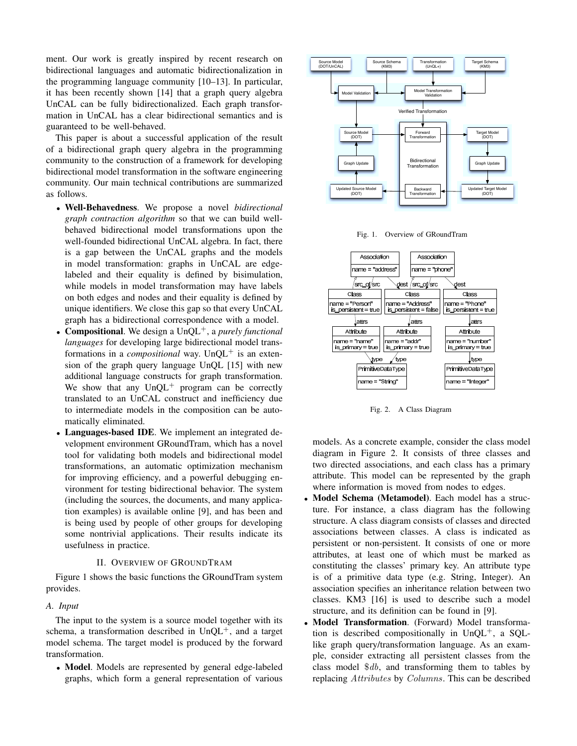ment. Our work is greatly inspired by recent research on bidirectional languages and automatic bidirectionalization in the programming language community [10–13]. In particular, it has been recently shown [14] that a graph query algebra UnCAL can be fully bidirectionalized. Each graph transformation in UnCAL has a clear bidirectional semantics and is guaranteed to be well-behaved.

This paper is about a successful application of the result of a bidirectional graph query algebra in the programming community to the construction of a framework for developing bidirectional model transformation in the software engineering community. Our main technical contributions are summarized as follows.

- *•* Well-Behavedness. We propose a novel *bidirectional graph contraction algorithm* so that we can build wellbehaved bidirectional model transformations upon the well-founded bidirectional UnCAL algebra. In fact, there is a gap between the UnCAL graphs and the models in model transformation: graphs in UnCAL are edgelabeled and their equality is defined by bisimulation, while models in model transformation may have labels on both edges and nodes and their equality is defined by unique identifiers. We close this gap so that every UnCAL graph has a bidirectional correspondence with a model.
- *•* Compositional. We design a UnQL<sup>+</sup>, a *purely functional languages* for developing large bidirectional model transformations in a *compositional* way. UnQL<sup>+</sup> is an extension of the graph query language UnQL [15] with new additional language constructs for graph transformation. We show that any  $UnQL^+$  program can be correctly translated to an UnCAL construct and inefficiency due to intermediate models in the composition can be automatically eliminated.
- *•* Languages-based IDE. We implement an integrated development environment GRoundTram, which has a novel tool for validating both models and bidirectional model transformations, an automatic optimization mechanism for improving efficiency, and a powerful debugging environment for testing bidirectional behavior. The system (including the sources, the documents, and many application examples) is available online [9], and has been and is being used by people of other groups for developing some nontrivial applications. Their results indicate its usefulness in practice.

#### II. OVERVIEW OF GROUNDTRAM

Figure 1 shows the basic functions the GRoundTram system provides.

#### *A. Input*

The input to the system is a source model together with its schema, a transformation described in  $UnQL^+$ , and a target model schema. The target model is produced by the forward transformation.

*•* Model. Models are represented by general edge-labeled graphs, which form a general representation of various







Fig. 2. A Class Diagram

models. As a concrete example, consider the class model diagram in Figure 2. It consists of three classes and two directed associations, and each class has a primary attribute. This model can be represented by the graph where information is moved from nodes to edges.

- *•* Model Schema (Metamodel). Each model has a structure. For instance, a class diagram has the following structure. A class diagram consists of classes and directed associations between classes. A class is indicated as persistent or non-persistent. It consists of one or more attributes, at least one of which must be marked as constituting the classes' primary key. An attribute type is of a primitive data type (e.g. String, Integer). An association specifies an inheritance relation between two classes. KM3 [16] is used to describe such a model structure, and its definition can be found in [9].
- *•* Model Transformation. (Forward) Model transformation is described compositionally in  $UnQL^+$ , a SQLlike graph query/transformation language. As an example, consider extracting all persistent classes from the class model \$*db*, and transforming them to tables by replacing *Attributes* by *Columns*. This can be described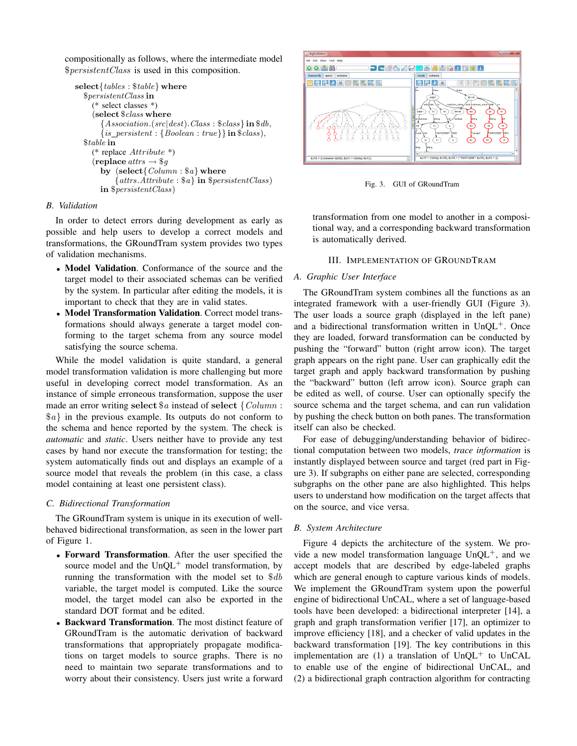compositionally as follows, where the intermediate model \$*persistentClass* is used in this composition.

```
select{tables : $table} where
$persistentClass in
   (* select classes *)
   (select $class where
      {Association.(src|dest).Class : $class} in $db,
      {is persistent : {Boolean : true}} in $class),
$table in
   (* replace Attribute *)
   (\text{replace} \text{ at } \text{trs} \rightarrow \text{\$} \text{g})by (select{Column : $a} where
          {attrs.Attribute : $a} in $persistentClass)
     in $persistentClass)
```
# *B. Validation*

In order to detect errors during development as early as possible and help users to develop a correct models and transformations, the GRoundTram system provides two types of validation mechanisms.

- *•* Model Validation. Conformance of the source and the target model to their associated schemas can be verified by the system. In particular after editing the models, it is important to check that they are in valid states.
- *•* Model Transformation Validation. Correct model transformations should always generate a target model conforming to the target schema from any source model satisfying the source schema.

While the model validation is quite standard, a general model transformation validation is more challenging but more useful in developing correct model transformation. As an instance of simple erroneous transformation, suppose the user made an error writing **select** \$*a* instead of **select** *{Column* : \$*a}* in the previous example. Its outputs do not conform to the schema and hence reported by the system. The check is *automatic* and *static*. Users neither have to provide any test cases by hand nor execute the transformation for testing; the system automatically finds out and displays an example of a source model that reveals the problem (in this case, a class model containing at least one persistent class).

# *C. Bidirectional Transformation*

The GRoundTram system is unique in its execution of wellbehaved bidirectional transformation, as seen in the lower part of Figure 1.

- *•* Forward Transformation. After the user specified the source model and the  $UnOL^+$  model transformation, by running the transformation with the model set to \$*db* variable, the target model is computed. Like the source model, the target model can also be exported in the standard DOT format and be edited.
- *•* Backward Transformation. The most distinct feature of GRoundTram is the automatic derivation of backward transformations that appropriately propagate modifications on target models to source graphs. There is no need to maintain two separate transformations and to worry about their consistency. Users just write a forward



Fig. 3. GUI of GRoundTram

transformation from one model to another in a compositional way, and a corresponding backward transformation is automatically derived.

## III. IMPLEMENTATION OF GROUNDTRAM

## *A. Graphic User Interface*

The GRoundTram system combines all the functions as an integrated framework with a user-friendly GUI (Figure 3). The user loads a source graph (displayed in the left pane) and a bidirectional transformation written in  $UnQL<sup>+</sup>$ . Once they are loaded, forward transformation can be conducted by pushing the "forward" button (right arrow icon). The target graph appears on the right pane. User can graphically edit the target graph and apply backward transformation by pushing the "backward" button (left arrow icon). Source graph can be edited as well, of course. User can optionally specify the source schema and the target schema, and can run validation by pushing the check button on both panes. The transformation itself can also be checked.

For ease of debugging/understanding behavior of bidirectional computation between two models, *trace information* is instantly displayed between source and target (red part in Figure 3). If subgraphs on either pane are selected, corresponding subgraphs on the other pane are also highlighted. This helps users to understand how modification on the target affects that on the source, and vice versa.

# *B. System Architecture*

Figure 4 depicts the architecture of the system. We provide a new model transformation language  $UnOL^+$ , and we accept models that are described by edge-labeled graphs which are general enough to capture various kinds of models. We implement the GRoundTram system upon the powerful engine of bidirectional UnCAL, where a set of language-based tools have been developed: a bidirectional interpreter [14], a graph and graph transformation verifier [17], an optimizer to improve efficiency [18], and a checker of valid updates in the backward transformation [19]. The key contributions in this implementation are (1) a translation of  $UnQL<sup>+</sup>$  to UnCAL to enable use of the engine of bidirectional UnCAL, and (2) a bidirectional graph contraction algorithm for contracting